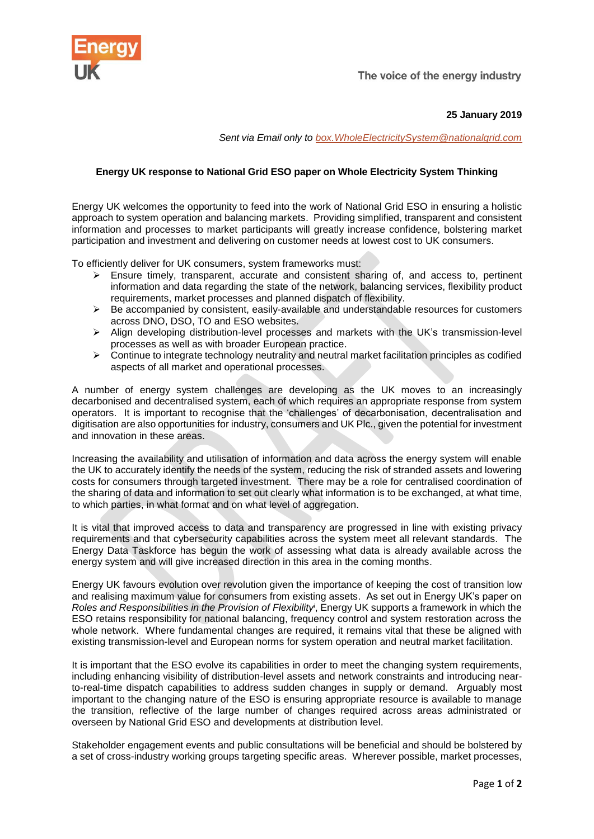

The voice of the energy industry

**25 January 2019**

*Sent via Email only to [box.WholeElectricitySystem@nationalgrid.com](mailto:box.WholeElectricitySystem@nationalgrid.com)*

## **Energy UK response to National Grid ESO paper on Whole Electricity System Thinking**

Energy UK welcomes the opportunity to feed into the work of National Grid ESO in ensuring a holistic approach to system operation and balancing markets. Providing simplified, transparent and consistent information and processes to market participants will greatly increase confidence, bolstering market participation and investment and delivering on customer needs at lowest cost to UK consumers.

To efficiently deliver for UK consumers, system frameworks must:

- ➢ Ensure timely, transparent, accurate and consistent sharing of, and access to, pertinent information and data regarding the state of the network, balancing services, flexibility product requirements, market processes and planned dispatch of flexibility.
- $\triangleright$  Be accompanied by consistent, easily-available and understandable resources for customers across DNO, DSO, TO and ESO websites.
- ➢ Align developing distribution-level processes and markets with the UK's transmission-level processes as well as with broader European practice.
- $\triangleright$  Continue to integrate technology neutrality and neutral market facilitation principles as codified aspects of all market and operational processes.

A number of energy system challenges are developing as the UK moves to an increasingly decarbonised and decentralised system, each of which requires an appropriate response from system operators. It is important to recognise that the 'challenges' of decarbonisation, decentralisation and digitisation are also opportunities for industry, consumers and UK Plc., given the potential for investment and innovation in these areas.

Increasing the availability and utilisation of information and data across the energy system will enable the UK to accurately identify the needs of the system, reducing the risk of stranded assets and lowering costs for consumers through targeted investment. There may be a role for centralised coordination of the sharing of data and information to set out clearly what information is to be exchanged, at what time, to which parties, in what format and on what level of aggregation.

It is vital that improved access to data and transparency are progressed in line with existing privacy requirements and that cybersecurity capabilities across the system meet all relevant standards. The Energy Data Taskforce has begun the work of assessing what data is already available across the energy system and will give increased direction in this area in the coming months.

Energy UK favours evolution over revolution given the importance of keeping the cost of transition low and realising maximum value for consumers from existing assets. As set out in Energy UK's paper on *Roles and Responsibilities in the Provision of Flexibility<sup>i</sup>* , Energy UK supports a framework in which the ESO retains responsibility for national balancing, frequency control and system restoration across the whole network. Where fundamental changes are required, it remains vital that these be aligned with existing transmission-level and European norms for system operation and neutral market facilitation.

It is important that the ESO evolve its capabilities in order to meet the changing system requirements, including enhancing visibility of distribution-level assets and network constraints and introducing nearto-real-time dispatch capabilities to address sudden changes in supply or demand. Arguably most important to the changing nature of the ESO is ensuring appropriate resource is available to manage the transition, reflective of the large number of changes required across areas administrated or overseen by National Grid ESO and developments at distribution level.

Stakeholder engagement events and public consultations will be beneficial and should be bolstered by a set of cross-industry working groups targeting specific areas. Wherever possible, market processes,